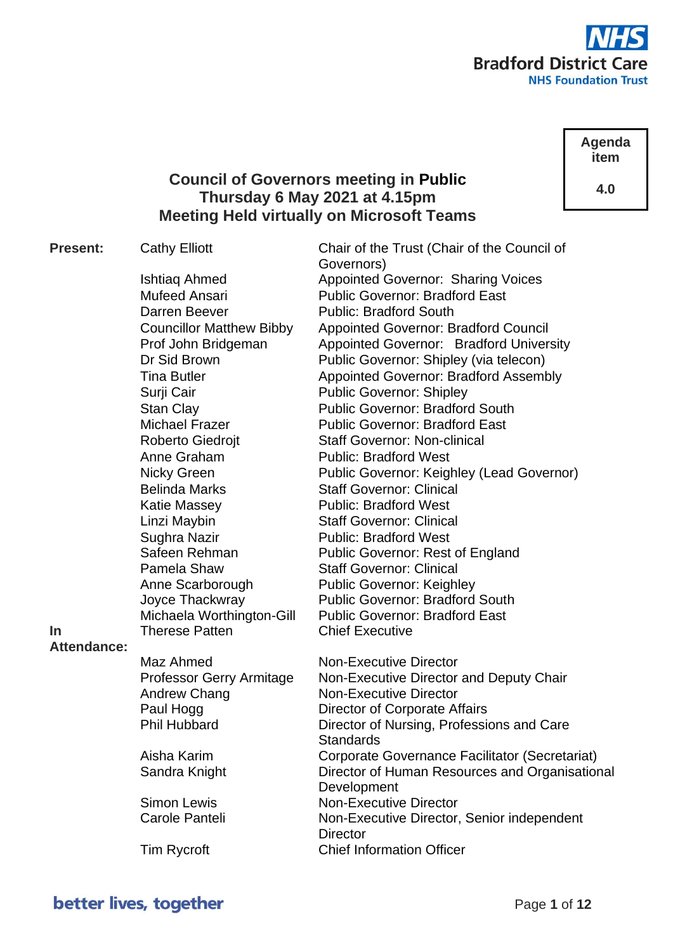

**Agenda item**

**4.0**

# **Council of Governors meeting in Public Thursday 6 May 2021 at 4.15pm Meeting Held virtually on Microsoft Teams**

Governors)

**Present:** Cathy Elliott Chair of the Trust (Chair of the Council of

Ishtiag Ahmed **Appointed Governor: Sharing Voices** Mufeed Ansari Public Governor: Bradford East Darren Beever Public: Bradford South Councillor Matthew Bibby Appointed Governor: Bradford Council Prof John Bridgeman Appointed Governor: Bradford University Dr Sid Brown Public Governor: Shipley (via telecon) Tina Butler **Appointed Governor: Bradford Assembly** Surii Cair **Public Governor: Shipley** Stan Clay **Public Governor: Bradford South** Michael Frazer Public Governor: Bradford East Roberto Giedroit Staff Governor: Non-clinical Anne Graham Public: Bradford West Nicky Green Public Governor: Keighley (Lead Governor) Belinda Marks Staff Governor: Clinical Katie Massey **Public: Bradford West** Linzi Maybin Staff Governor: Clinical Sughra Nazir **Public: Bradford West** Safeen Rehman Public Governor: Rest of England Pamela Shaw Staff Governor: Clinical Anne Scarborough Public Governor: Keighley Joyce Thackwray Public Governor: Bradford South Michaela Worthington-Gill Public Governor: Bradford East Therese Patten Chief Executive

**In Attendance:**

| à. |                                 |                                                |
|----|---------------------------------|------------------------------------------------|
|    | Maz Ahmed                       | <b>Non-Executive Director</b>                  |
|    | <b>Professor Gerry Armitage</b> | Non-Executive Director and Deputy Chair        |
|    | Andrew Chang                    | <b>Non-Executive Director</b>                  |
|    | Paul Hogg                       | Director of Corporate Affairs                  |
|    | <b>Phil Hubbard</b>             | Director of Nursing, Professions and Care      |
|    |                                 | <b>Standards</b>                               |
|    | Aisha Karim                     | Corporate Governance Facilitator (Secretariat) |
|    | Sandra Knight                   | Director of Human Resources and Organisational |
|    |                                 | Development                                    |
|    | <b>Simon Lewis</b>              | <b>Non-Executive Director</b>                  |
|    | Carole Panteli                  | Non-Executive Director, Senior independent     |
|    |                                 | <b>Director</b>                                |
|    | <b>Tim Rycroft</b>              | <b>Chief Information Officer</b>               |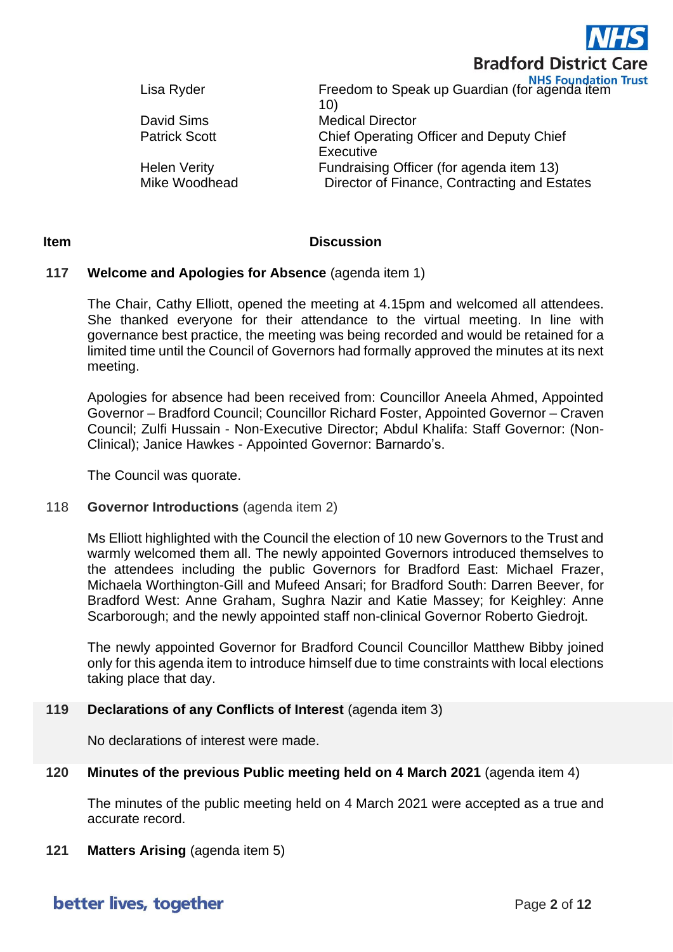

Lisa Ryder Freedom to Speak up Guardian (for agenda item 10) David Sims Medical Director Patrick Scott **Chief Operating Officer and Deputy Chief Executive** Helen Verity Fundraising Officer (for agenda item 13) Mike Woodhead Director of Finance, Contracting and Estates

# **Item Discussion**

# **117 Welcome and Apologies for Absence** (agenda item 1)

The Chair, Cathy Elliott, opened the meeting at 4.15pm and welcomed all attendees. She thanked everyone for their attendance to the virtual meeting. In line with governance best practice, the meeting was being recorded and would be retained for a limited time until the Council of Governors had formally approved the minutes at its next meeting.

Apologies for absence had been received from: Councillor Aneela Ahmed, Appointed Governor – Bradford Council; Councillor Richard Foster, Appointed Governor – Craven Council; Zulfi Hussain - Non-Executive Director; Abdul Khalifa: Staff Governor: (Non-Clinical); Janice Hawkes - Appointed Governor: Barnardo's.

The Council was quorate.

## 118 **Governor Introductions** (agenda item 2)

Ms Elliott highlighted with the Council the election of 10 new Governors to the Trust and warmly welcomed them all. The newly appointed Governors introduced themselves to the attendees including the public Governors for Bradford East: Michael Frazer, Michaela Worthington-Gill and Mufeed Ansari; for Bradford South: Darren Beever, for Bradford West: Anne Graham, Sughra Nazir and Katie Massey; for Keighley: Anne Scarborough; and the newly appointed staff non-clinical Governor Roberto Giedrojt.

The newly appointed Governor for Bradford Council Councillor Matthew Bibby joined only for this agenda item to introduce himself due to time constraints with local elections taking place that day.

## **119 Declarations of any Conflicts of Interest** (agenda item 3)

No declarations of interest were made.

# **120 Minutes of the previous Public meeting held on 4 March 2021** (agenda item 4)

The minutes of the public meeting held on 4 March 2021 were accepted as a true and accurate record.

**121 Matters Arising** (agenda item 5)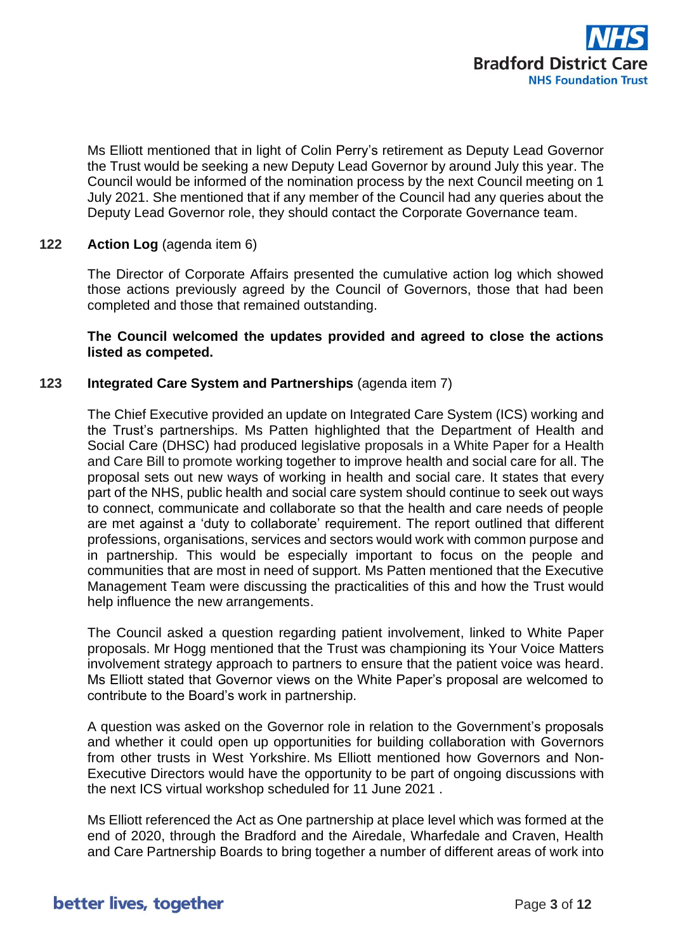

Ms Elliott mentioned that in light of Colin Perry's retirement as Deputy Lead Governor the Trust would be seeking a new Deputy Lead Governor by around July this year. The Council would be informed of the nomination process by the next Council meeting on 1 July 2021. She mentioned that if any member of the Council had any queries about the Deputy Lead Governor role, they should contact the Corporate Governance team.

## **122 Action Log** (agenda item 6)

The Director of Corporate Affairs presented the cumulative action log which showed those actions previously agreed by the Council of Governors, those that had been completed and those that remained outstanding.

## **The Council welcomed the updates provided and agreed to close the actions listed as competed.**

## **123 Integrated Care System and Partnerships** (agenda item 7)

The Chief Executive provided an update on Integrated Care System (ICS) working and the Trust's partnerships. Ms Patten highlighted that the Department of Health and Social Care (DHSC) had produced legislative proposals in a White Paper for a Health and Care Bill to promote working together to improve health and social care for all. The proposal sets out new ways of working in health and social care. It states that every part of the NHS, public health and social care system should continue to seek out ways to connect, communicate and collaborate so that the health and care needs of people are met against a 'duty to collaborate' requirement. The report outlined that different professions, organisations, services and sectors would work with common purpose and in partnership. This would be especially important to focus on the people and communities that are most in need of support. Ms Patten mentioned that the Executive Management Team were discussing the practicalities of this and how the Trust would help influence the new arrangements.

The Council asked a question regarding patient involvement, linked to White Paper proposals. Mr Hogg mentioned that the Trust was championing its Your Voice Matters involvement strategy approach to partners to ensure that the patient voice was heard. Ms Elliott stated that Governor views on the White Paper's proposal are welcomed to contribute to the Board's work in partnership.

A question was asked on the Governor role in relation to the Government's proposals and whether it could open up opportunities for building collaboration with Governors from other trusts in West Yorkshire. Ms Elliott mentioned how Governors and Non-Executive Directors would have the opportunity to be part of ongoing discussions with the next ICS virtual workshop scheduled for 11 June 2021 .

Ms Elliott referenced the Act as One partnership at place level which was formed at the end of 2020, through the Bradford and the Airedale, Wharfedale and Craven, Health and Care Partnership Boards to bring together a number of different areas of work into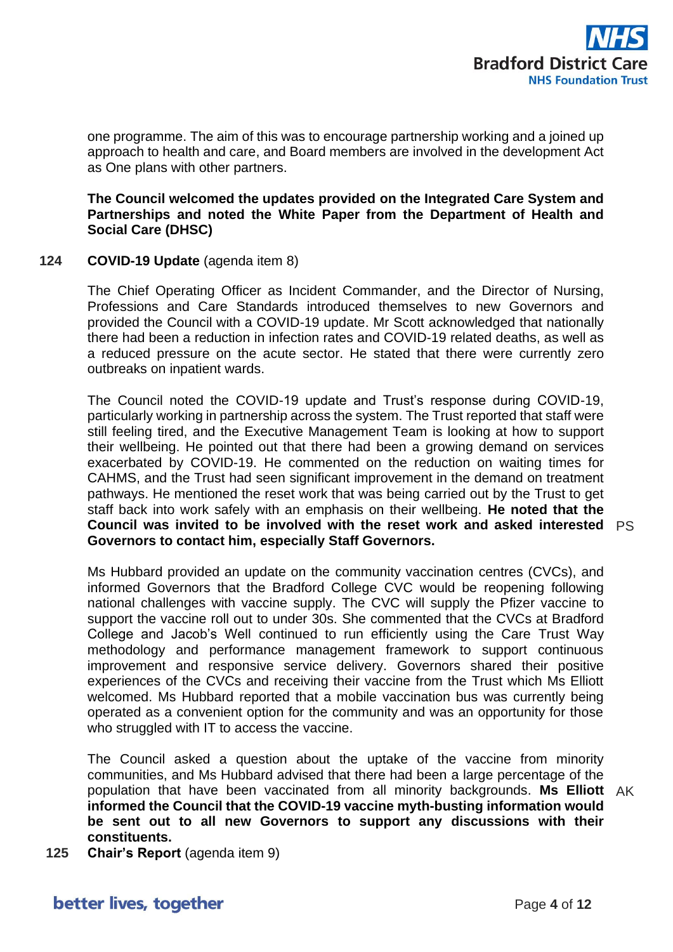

one programme. The aim of this was to encourage partnership working and a joined up approach to health and care, and Board members are involved in the development Act as One plans with other partners.

**The Council welcomed the updates provided on the Integrated Care System and Partnerships and noted the White Paper from the Department of Health and Social Care (DHSC)**

## **124 COVID-19 Update** (agenda item 8)

The Chief Operating Officer as Incident Commander, and the Director of Nursing, Professions and Care Standards introduced themselves to new Governors and provided the Council with a COVID-19 update. Mr Scott acknowledged that nationally there had been a reduction in infection rates and COVID-19 related deaths, as well as a reduced pressure on the acute sector. He stated that there were currently zero outbreaks on inpatient wards.

The Council noted the COVID-19 update and Trust's response during COVID-19, particularly working in partnership across the system. The Trust reported that staff were still feeling tired, and the Executive Management Team is looking at how to support their wellbeing. He pointed out that there had been a growing demand on services exacerbated by COVID-19. He commented on the reduction on waiting times for CAHMS, and the Trust had seen significant improvement in the demand on treatment pathways. He mentioned the reset work that was being carried out by the Trust to get staff back into work safely with an emphasis on their wellbeing. **He noted that the Council was invited to be involved with the reset work and asked interested**  PS **Governors to contact him, especially Staff Governors.**

Ms Hubbard provided an update on the community vaccination centres (CVCs), and informed Governors that the Bradford College CVC would be reopening following national challenges with vaccine supply. The CVC will supply the Pfizer vaccine to support the vaccine roll out to under 30s. She commented that the CVCs at Bradford College and Jacob's Well continued to run efficiently using the Care Trust Way methodology and performance management framework to support continuous improvement and responsive service delivery. Governors shared their positive experiences of the CVCs and receiving their vaccine from the Trust which Ms Elliott welcomed. Ms Hubbard reported that a mobile vaccination bus was currently being operated as a convenient option for the community and was an opportunity for those who struggled with IT to access the vaccine.

The Council asked a question about the uptake of the vaccine from minority communities, and Ms Hubbard advised that there had been a large percentage of the population that have been vaccinated from all minority backgrounds. **Ms Elliott**  AK **informed the Council that the COVID-19 vaccine myth-busting information would be sent out to all new Governors to support any discussions with their constituents.**

**125 Chair's Report** (agenda item 9)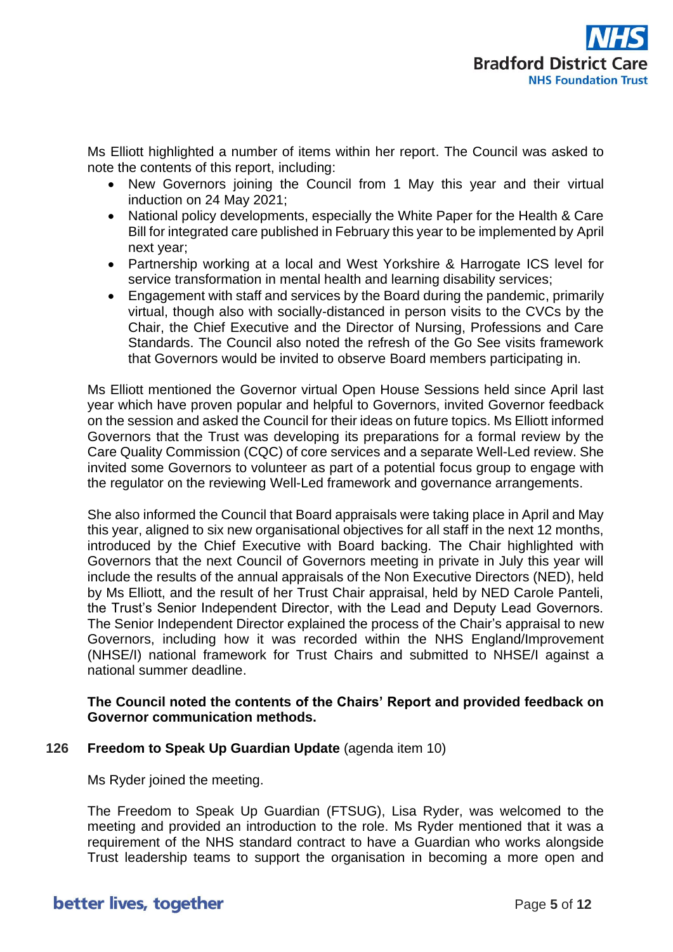

Ms Elliott highlighted a number of items within her report. The Council was asked to note the contents of this report, including:

- New Governors joining the Council from 1 May this year and their virtual induction on 24 May 2021;
- National policy developments, especially the White Paper for the Health & Care Bill for integrated care published in February this year to be implemented by April next year;
- Partnership working at a local and West Yorkshire & Harrogate ICS level for service transformation in mental health and learning disability services;
- Engagement with staff and services by the Board during the pandemic, primarily virtual, though also with socially-distanced in person visits to the CVCs by the Chair, the Chief Executive and the Director of Nursing, Professions and Care Standards. The Council also noted the refresh of the Go See visits framework that Governors would be invited to observe Board members participating in.

Ms Elliott mentioned the Governor virtual Open House Sessions held since April last year which have proven popular and helpful to Governors, invited Governor feedback on the session and asked the Council for their ideas on future topics. Ms Elliott informed Governors that the Trust was developing its preparations for a formal review by the Care Quality Commission (CQC) of core services and a separate Well-Led review. She invited some Governors to volunteer as part of a potential focus group to engage with the regulator on the reviewing Well-Led framework and governance arrangements.

She also informed the Council that Board appraisals were taking place in April and May this year, aligned to six new organisational objectives for all staff in the next 12 months, introduced by the Chief Executive with Board backing. The Chair highlighted with Governors that the next Council of Governors meeting in private in July this year will include the results of the annual appraisals of the Non Executive Directors (NED), held by Ms Elliott, and the result of her Trust Chair appraisal, held by NED Carole Panteli, the Trust's Senior Independent Director, with the Lead and Deputy Lead Governors. The Senior Independent Director explained the process of the Chair's appraisal to new Governors, including how it was recorded within the NHS England/Improvement (NHSE/I) national framework for Trust Chairs and submitted to NHSE/I against a national summer deadline.

## **The Council noted the contents of the Chairs' Report and provided feedback on Governor communication methods.**

# **126 Freedom to Speak Up Guardian Update** (agenda item 10)

Ms Ryder joined the meeting.

The Freedom to Speak Up Guardian (FTSUG), Lisa Ryder, was welcomed to the meeting and provided an introduction to the role. Ms Ryder mentioned that it was a requirement of the NHS standard contract to have a Guardian who works alongside Trust leadership teams to support the organisation in becoming a more open and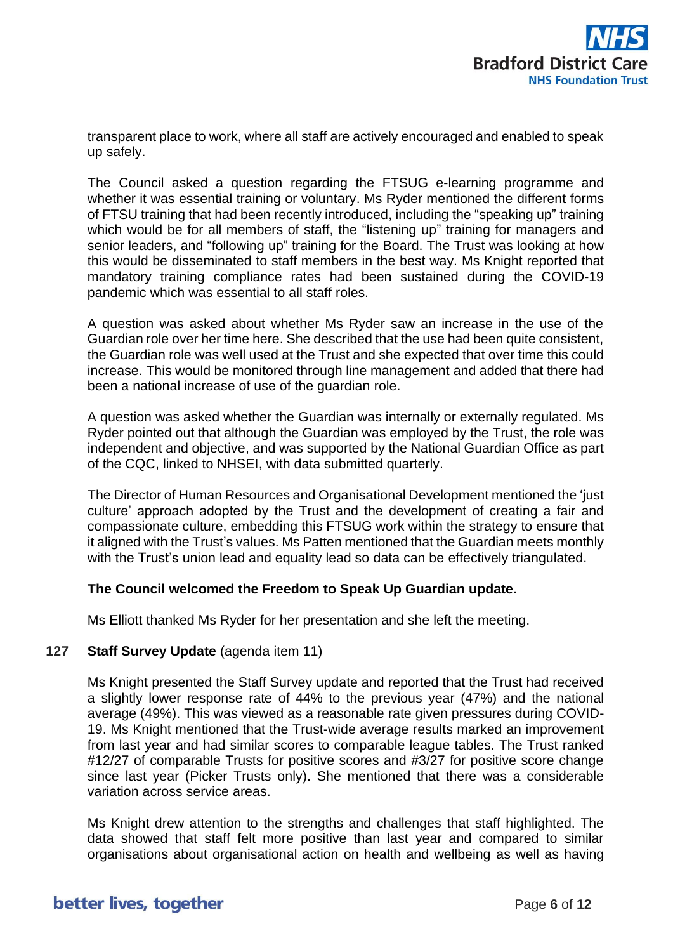

transparent place to work, where all staff are actively encouraged and enabled to speak up safely.

The Council asked a question regarding the FTSUG e-learning programme and whether it was essential training or voluntary. Ms Ryder mentioned the different forms of FTSU training that had been recently introduced, including the "speaking up" training which would be for all members of staff, the "listening up" training for managers and senior leaders, and "following up" training for the Board. The Trust was looking at how this would be disseminated to staff members in the best way. Ms Knight reported that mandatory training compliance rates had been sustained during the COVID-19 pandemic which was essential to all staff roles.

A question was asked about whether Ms Ryder saw an increase in the use of the Guardian role over her time here. She described that the use had been quite consistent, the Guardian role was well used at the Trust and she expected that over time this could increase. This would be monitored through line management and added that there had been a national increase of use of the guardian role.

A question was asked whether the Guardian was internally or externally regulated. Ms Ryder pointed out that although the Guardian was employed by the Trust, the role was independent and objective, and was supported by the National Guardian Office as part of the CQC, linked to NHSEI, with data submitted quarterly.

The Director of Human Resources and Organisational Development mentioned the 'just culture' approach adopted by the Trust and the development of creating a fair and compassionate culture, embedding this FTSUG work within the strategy to ensure that it aligned with the Trust's values. Ms Patten mentioned that the Guardian meets monthly with the Trust's union lead and equality lead so data can be effectively triangulated.

# **The Council welcomed the Freedom to Speak Up Guardian update.**

Ms Elliott thanked Ms Ryder for her presentation and she left the meeting.

## **127 Staff Survey Update** (agenda item 11)

Ms Knight presented the Staff Survey update and reported that the Trust had received a slightly lower response rate of 44% to the previous year (47%) and the national average (49%). This was viewed as a reasonable rate given pressures during COVID-19. Ms Knight mentioned that the Trust-wide average results marked an improvement from last year and had similar scores to comparable league tables. The Trust ranked #12/27 of comparable Trusts for positive scores and #3/27 for positive score change since last year (Picker Trusts only). She mentioned that there was a considerable variation across service areas.

Ms Knight drew attention to the strengths and challenges that staff highlighted. The data showed that staff felt more positive than last year and compared to similar organisations about organisational action on health and wellbeing as well as having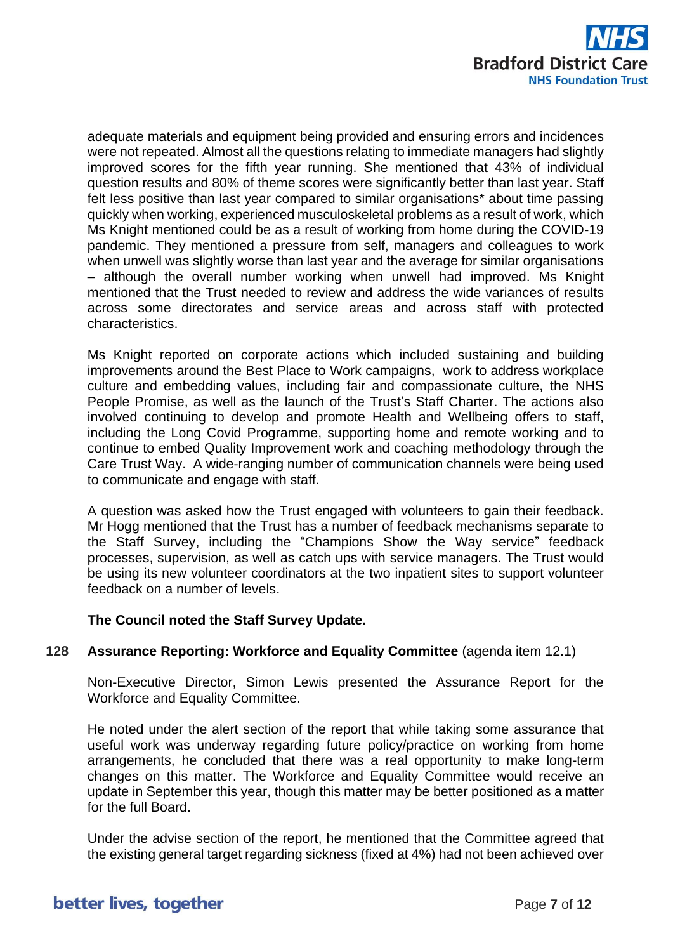

adequate materials and equipment being provided and ensuring errors and incidences were not repeated. Almost all the questions relating to immediate managers had slightly improved scores for the fifth year running. She mentioned that 43% of individual question results and 80% of theme scores were significantly better than last year. Staff felt less positive than last year compared to similar organisations\* about time passing quickly when working, experienced musculoskeletal problems as a result of work, which Ms Knight mentioned could be as a result of working from home during the COVID-19 pandemic. They mentioned a pressure from self, managers and colleagues to work when unwell was slightly worse than last year and the average for similar organisations – although the overall number working when unwell had improved. Ms Knight mentioned that the Trust needed to review and address the wide variances of results across some directorates and service areas and across staff with protected characteristics.

Ms Knight reported on corporate actions which included sustaining and building improvements around the Best Place to Work campaigns, work to address workplace culture and embedding values, including fair and compassionate culture, the NHS People Promise, as well as the launch of the Trust's Staff Charter. The actions also involved continuing to develop and promote Health and Wellbeing offers to staff, including the Long Covid Programme, supporting home and remote working and to continue to embed Quality Improvement work and coaching methodology through the Care Trust Way. A wide-ranging number of communication channels were being used to communicate and engage with staff.

A question was asked how the Trust engaged with volunteers to gain their feedback. Mr Hogg mentioned that the Trust has a number of feedback mechanisms separate to the Staff Survey, including the "Champions Show the Way service" feedback processes, supervision, as well as catch ups with service managers. The Trust would be using its new volunteer coordinators at the two inpatient sites to support volunteer feedback on a number of levels.

# **The Council noted the Staff Survey Update.**

## **128 Assurance Reporting: Workforce and Equality Committee** (agenda item 12.1)

Non-Executive Director, Simon Lewis presented the Assurance Report for the Workforce and Equality Committee.

He noted under the alert section of the report that while taking some assurance that useful work was underway regarding future policy/practice on working from home arrangements, he concluded that there was a real opportunity to make long-term changes on this matter. The Workforce and Equality Committee would receive an update in September this year, though this matter may be better positioned as a matter for the full Board.

Under the advise section of the report, he mentioned that the Committee agreed that the existing general target regarding sickness (fixed at 4%) had not been achieved over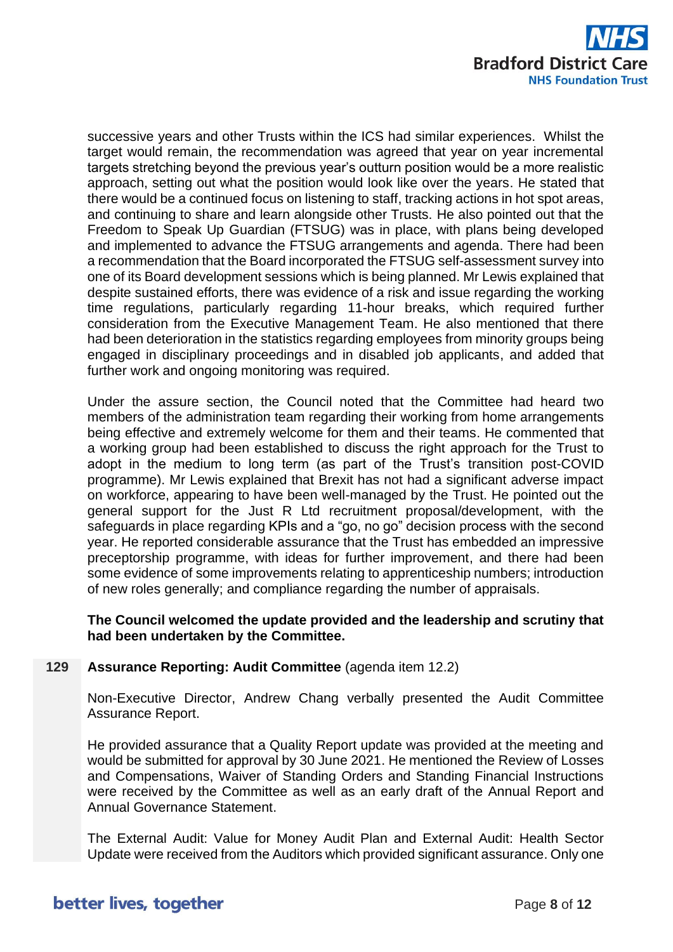

successive years and other Trusts within the ICS had similar experiences. Whilst the target would remain, the recommendation was agreed that year on year incremental targets stretching beyond the previous year's outturn position would be a more realistic approach, setting out what the position would look like over the years. He stated that there would be a continued focus on listening to staff, tracking actions in hot spot areas, and continuing to share and learn alongside other Trusts. He also pointed out that the Freedom to Speak Up Guardian (FTSUG) was in place, with plans being developed and implemented to advance the FTSUG arrangements and agenda. There had been a recommendation that the Board incorporated the FTSUG self-assessment survey into one of its Board development sessions which is being planned. Mr Lewis explained that despite sustained efforts, there was evidence of a risk and issue regarding the working time regulations, particularly regarding 11-hour breaks, which required further consideration from the Executive Management Team. He also mentioned that there had been deterioration in the statistics regarding employees from minority groups being engaged in disciplinary proceedings and in disabled job applicants, and added that further work and ongoing monitoring was required.

Under the assure section, the Council noted that the Committee had heard two members of the administration team regarding their working from home arrangements being effective and extremely welcome for them and their teams. He commented that a working group had been established to discuss the right approach for the Trust to adopt in the medium to long term (as part of the Trust's transition post-COVID programme). Mr Lewis explained that Brexit has not had a significant adverse impact on workforce, appearing to have been well-managed by the Trust. He pointed out the general support for the Just R Ltd recruitment proposal/development, with the safeguards in place regarding KPIs and a "go, no go" decision process with the second year. He reported considerable assurance that the Trust has embedded an impressive preceptorship programme, with ideas for further improvement, and there had been some evidence of some improvements relating to apprenticeship numbers; introduction of new roles generally; and compliance regarding the number of appraisals.

**The Council welcomed the update provided and the leadership and scrutiny that had been undertaken by the Committee.**

## **129 Assurance Reporting: Audit Committee** (agenda item 12.2)

Non-Executive Director, Andrew Chang verbally presented the Audit Committee Assurance Report.

He provided assurance that a Quality Report update was provided at the meeting and would be submitted for approval by 30 June 2021. He mentioned the Review of Losses and Compensations, Waiver of Standing Orders and Standing Financial Instructions were received by the Committee as well as an early draft of the Annual Report and Annual Governance Statement.

The External Audit: Value for Money Audit Plan and External Audit: Health Sector Update were received from the Auditors which provided significant assurance. Only one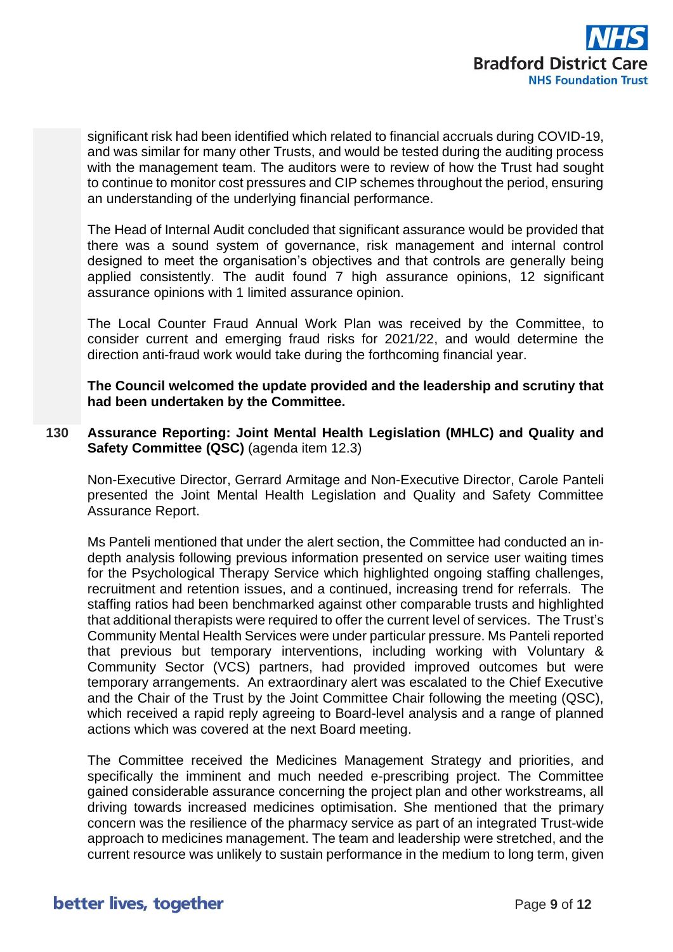

significant risk had been identified which related to financial accruals during COVID-19, and was similar for many other Trusts, and would be tested during the auditing process with the management team. The auditors were to review of how the Trust had sought to continue to monitor cost pressures and CIP schemes throughout the period, ensuring an understanding of the underlying financial performance.

The Head of Internal Audit concluded that significant assurance would be provided that there was a sound system of governance, risk management and internal control designed to meet the organisation's objectives and that controls are generally being applied consistently. The audit found 7 high assurance opinions, 12 significant assurance opinions with 1 limited assurance opinion.

The Local Counter Fraud Annual Work Plan was received by the Committee, to consider current and emerging fraud risks for 2021/22, and would determine the direction anti-fraud work would take during the forthcoming financial year.

**The Council welcomed the update provided and the leadership and scrutiny that had been undertaken by the Committee.**

**130 Assurance Reporting: Joint Mental Health Legislation (MHLC) and Quality and Safety Committee (QSC)** (agenda item 12.3)

Non-Executive Director, Gerrard Armitage and Non-Executive Director, Carole Panteli presented the Joint Mental Health Legislation and Quality and Safety Committee Assurance Report.

Ms Panteli mentioned that under the alert section, the Committee had conducted an indepth analysis following previous information presented on service user waiting times for the Psychological Therapy Service which highlighted ongoing staffing challenges, recruitment and retention issues, and a continued, increasing trend for referrals. The staffing ratios had been benchmarked against other comparable trusts and highlighted that additional therapists were required to offer the current level of services. The Trust's Community Mental Health Services were under particular pressure. Ms Panteli reported that previous but temporary interventions, including working with Voluntary & Community Sector (VCS) partners, had provided improved outcomes but were temporary arrangements. An extraordinary alert was escalated to the Chief Executive and the Chair of the Trust by the Joint Committee Chair following the meeting (QSC), which received a rapid reply agreeing to Board-level analysis and a range of planned actions which was covered at the next Board meeting.

The Committee received the Medicines Management Strategy and priorities, and specifically the imminent and much needed e-prescribing project. The Committee gained considerable assurance concerning the project plan and other workstreams, all driving towards increased medicines optimisation. She mentioned that the primary concern was the resilience of the pharmacy service as part of an integrated Trust-wide approach to medicines management. The team and leadership were stretched, and the current resource was unlikely to sustain performance in the medium to long term, given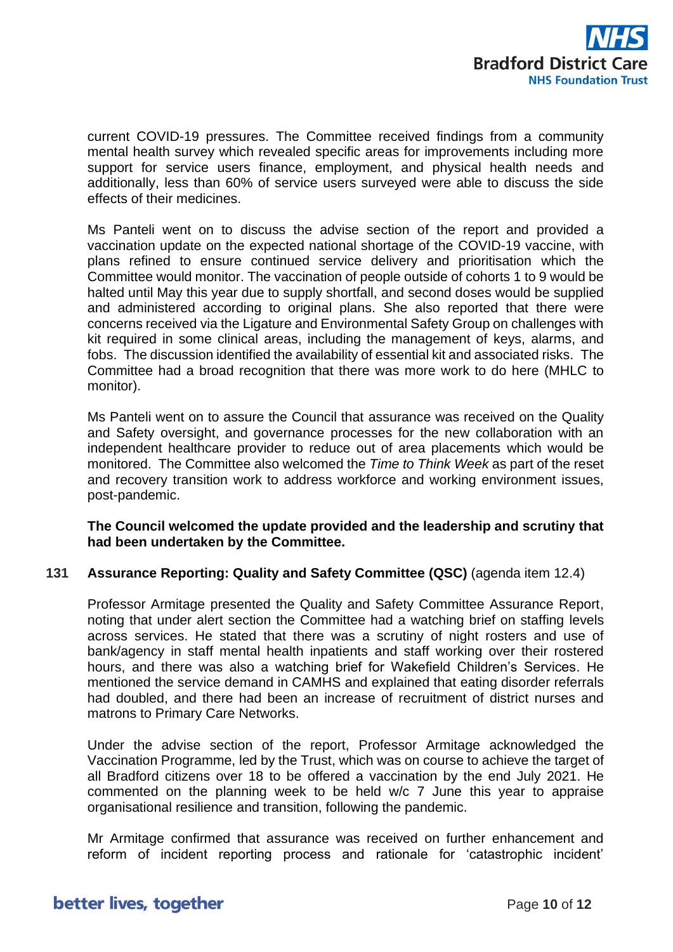

current COVID-19 pressures. The Committee received findings from a community mental health survey which revealed specific areas for improvements including more support for service users finance, employment, and physical health needs and additionally, less than 60% of service users surveyed were able to discuss the side effects of their medicines.

Ms Panteli went on to discuss the advise section of the report and provided a vaccination update on the expected national shortage of the COVID-19 vaccine, with plans refined to ensure continued service delivery and prioritisation which the Committee would monitor. The vaccination of people outside of cohorts 1 to 9 would be halted until May this year due to supply shortfall, and second doses would be supplied and administered according to original plans. She also reported that there were concerns received via the Ligature and Environmental Safety Group on challenges with kit required in some clinical areas, including the management of keys, alarms, and fobs. The discussion identified the availability of essential kit and associated risks. The Committee had a broad recognition that there was more work to do here (MHLC to monitor).

Ms Panteli went on to assure the Council that assurance was received on the Quality and Safety oversight, and governance processes for the new collaboration with an independent healthcare provider to reduce out of area placements which would be monitored. The Committee also welcomed the *Time to Think Week* as part of the reset and recovery transition work to address workforce and working environment issues, post-pandemic.

## **The Council welcomed the update provided and the leadership and scrutiny that had been undertaken by the Committee.**

## **131 Assurance Reporting: Quality and Safety Committee (QSC)** (agenda item 12.4)

Professor Armitage presented the Quality and Safety Committee Assurance Report, noting that under alert section the Committee had a watching brief on staffing levels across services. He stated that there was a scrutiny of night rosters and use of bank/agency in staff mental health inpatients and staff working over their rostered hours, and there was also a watching brief for Wakefield Children's Services. He mentioned the service demand in CAMHS and explained that eating disorder referrals had doubled, and there had been an increase of recruitment of district nurses and matrons to Primary Care Networks.

Under the advise section of the report, Professor Armitage acknowledged the Vaccination Programme, led by the Trust, which was on course to achieve the target of all Bradford citizens over 18 to be offered a vaccination by the end July 2021. He commented on the planning week to be held w/c 7 June this year to appraise organisational resilience and transition, following the pandemic.

Mr Armitage confirmed that assurance was received on further enhancement and reform of incident reporting process and rationale for 'catastrophic incident'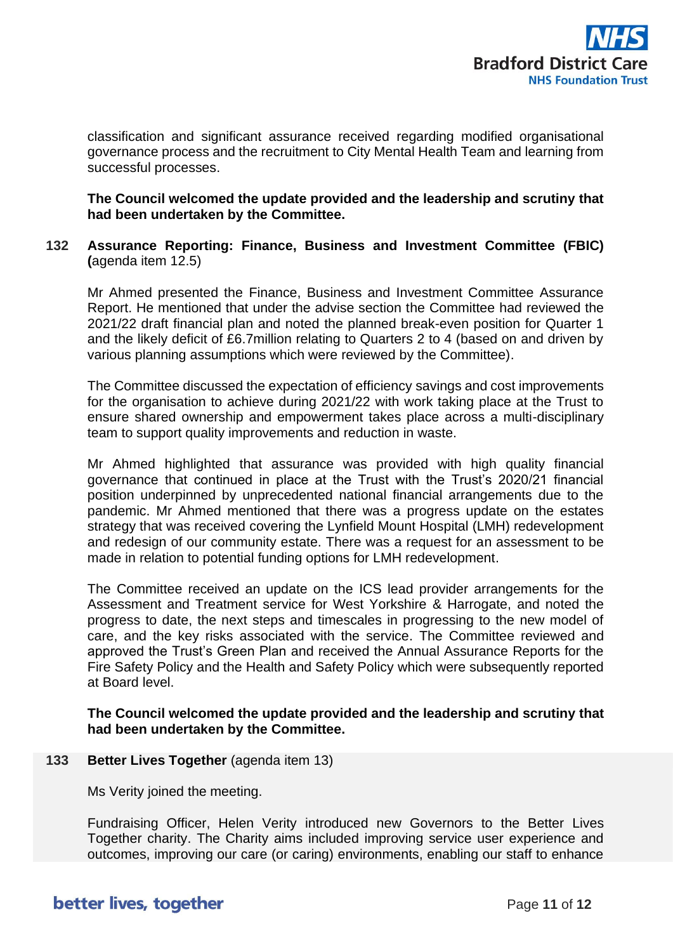

classification and significant assurance received regarding modified organisational governance process and the recruitment to City Mental Health Team and learning from successful processes.

**The Council welcomed the update provided and the leadership and scrutiny that had been undertaken by the Committee.**

**132 Assurance Reporting: Finance, Business and Investment Committee (FBIC) (**agenda item 12.5)

Mr Ahmed presented the Finance, Business and Investment Committee Assurance Report. He mentioned that under the advise section the Committee had reviewed the 2021/22 draft financial plan and noted the planned break-even position for Quarter 1 and the likely deficit of £6.7million relating to Quarters 2 to 4 (based on and driven by various planning assumptions which were reviewed by the Committee).

The Committee discussed the expectation of efficiency savings and cost improvements for the organisation to achieve during 2021/22 with work taking place at the Trust to ensure shared ownership and empowerment takes place across a multi-disciplinary team to support quality improvements and reduction in waste.

Mr Ahmed highlighted that assurance was provided with high quality financial governance that continued in place at the Trust with the Trust's 2020/21 financial position underpinned by unprecedented national financial arrangements due to the pandemic. Mr Ahmed mentioned that there was a progress update on the estates strategy that was received covering the Lynfield Mount Hospital (LMH) redevelopment and redesign of our community estate. There was a request for an assessment to be made in relation to potential funding options for LMH redevelopment.

The Committee received an update on the ICS lead provider arrangements for the Assessment and Treatment service for West Yorkshire & Harrogate, and noted the progress to date, the next steps and timescales in progressing to the new model of care, and the key risks associated with the service. The Committee reviewed and approved the Trust's Green Plan and received the Annual Assurance Reports for the Fire Safety Policy and the Health and Safety Policy which were subsequently reported at Board level.

**The Council welcomed the update provided and the leadership and scrutiny that had been undertaken by the Committee.**

**133 Better Lives Together** (agenda item 13)

Ms Verity joined the meeting.

Fundraising Officer, Helen Verity introduced new Governors to the Better Lives Together charity. The Charity aims included improving service user experience and outcomes, improving our care (or caring) environments, enabling our staff to enhance